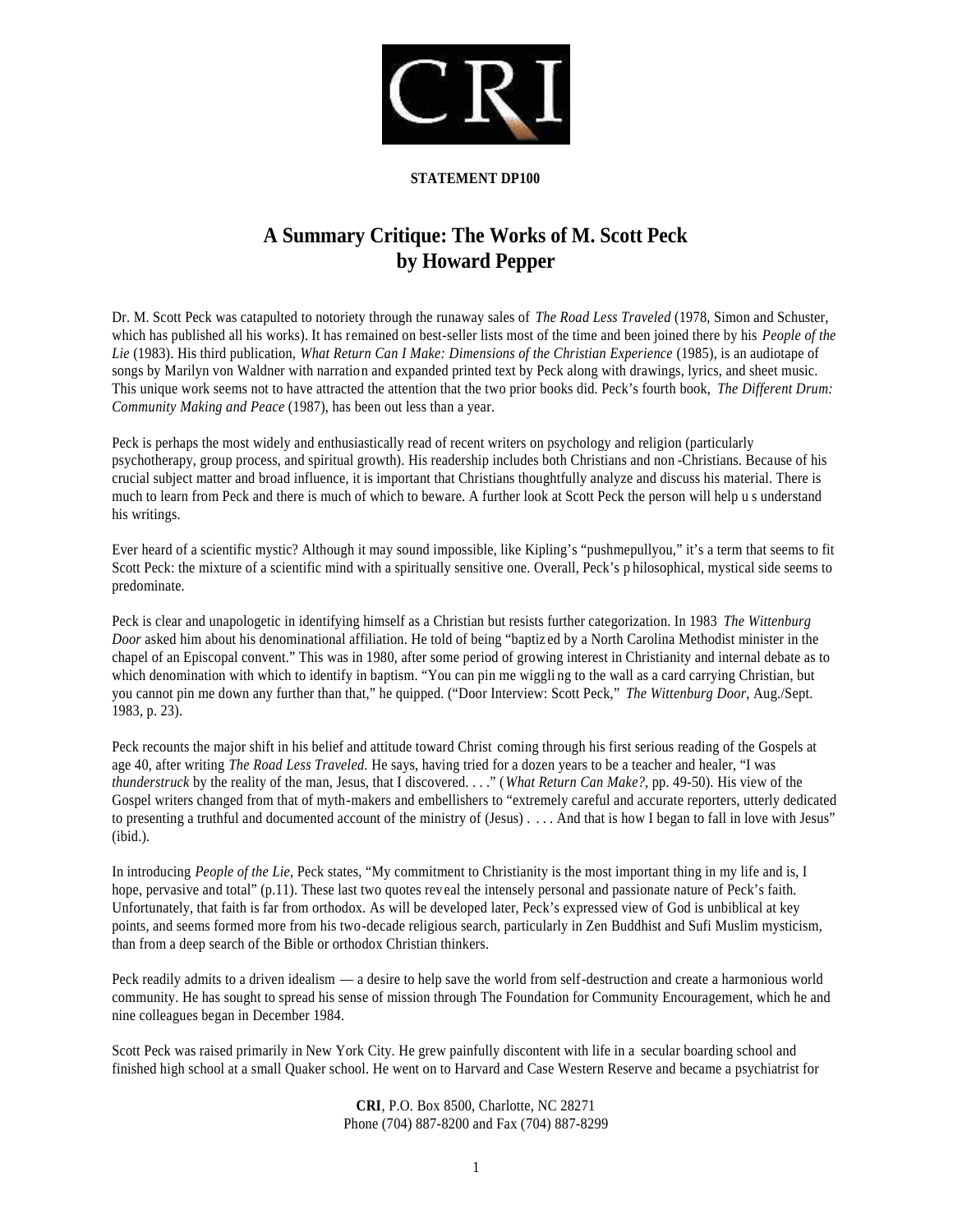

#### **STATEMENT DP100**

# **A Summary Critique: The Works of M. Scott Peck by Howard Pepper**

Dr. M. Scott Peck was catapulted to notoriety through the runaway sales of *The Road Less Traveled* (1978, Simon and Schuster, which has published all his works). It has remained on best-seller lists most of the time and been joined there by his *People of the Lie* (1983). His third publication, *What Return Can I Make: Dimensions of the Christian Experience* (1985), is an audiotape of songs by Marilyn von Waldner with narration and expanded printed text by Peck along with drawings, lyrics, and sheet music. This unique work seems not to have attracted the attention that the two prior books did. Peck's fourth book, *The Different Drum: Community Making and Peace* (1987), has been out less than a year.

Peck is perhaps the most widely and enthusiastically read of recent writers on psychology and religion (particularly psychotherapy, group process, and spiritual growth). His readership includes both Christians and non -Christians. Because of his crucial subject matter and broad influence, it is important that Christians thoughtfully analyze and discuss his material. There is much to learn from Peck and there is much of which to beware. A further look at Scott Peck the person will help u s understand his writings.

Ever heard of a scientific mystic? Although it may sound impossible, like Kipling's "pushmepullyou," it's a term that seems to fit Scott Peck: the mixture of a scientific mind with a spiritually sensitive one. Overall, Peck's p hilosophical, mystical side seems to predominate.

Peck is clear and unapologetic in identifying himself as a Christian but resists further categorization. In 1983 *The Wittenburg Door* asked him about his denominational affiliation. He told of being "baptiz ed by a North Carolina Methodist minister in the chapel of an Episcopal convent." This was in 1980, after some period of growing interest in Christianity and internal debate as to which denomination with which to identify in baptism. "You can pin me wiggli ng to the wall as a card carrying Christian, but you cannot pin me down any further than that," he quipped. ("Door Interview: Scott Peck," *The Wittenburg Door*, Aug./Sept. 1983, p. 23).

Peck recounts the major shift in his belief and attitude toward Christ coming through his first serious reading of the Gospels at age 40, after writing *The Road Less Traveled*. He says, having tried for a dozen years to be a teacher and healer, "I was *thunderstruck* by the reality of the man, Jesus, that I discovered. . . ." (*What Return Can Make?*, pp. 49-50). His view of the Gospel writers changed from that of myth-makers and embellishers to "extremely careful and accurate reporters, utterly dedicated to presenting a truthful and documented account of the ministry of (Jesus) . . . . And that is how I began to fall in love with Jesus"  $(ibid.).$ 

In introducing *People of the Lie*, Peck states, "My commitment to Christianity is the most important thing in my life and is, I hope, pervasive and total" (p.11). These last two quotes rev eal the intensely personal and passionate nature of Peck's faith. Unfortunately, that faith is far from orthodox. As will be developed later, Peck's expressed view of God is unbiblical at key points, and seems formed more from his two-decade religious search, particularly in Zen Buddhist and Sufi Muslim mysticism, than from a deep search of the Bible or orthodox Christian thinkers.

Peck readily admits to a driven idealism — a desire to help save the world from self-destruction and create a harmonious world community. He has sought to spread his sense of mission through The Foundation for Community Encouragement, which he and nine colleagues began in December 1984.

Scott Peck was raised primarily in New York City. He grew painfully discontent with life in a secular boarding school and finished high school at a small Quaker school. He went on to Harvard and Case Western Reserve and became a psychiatrist for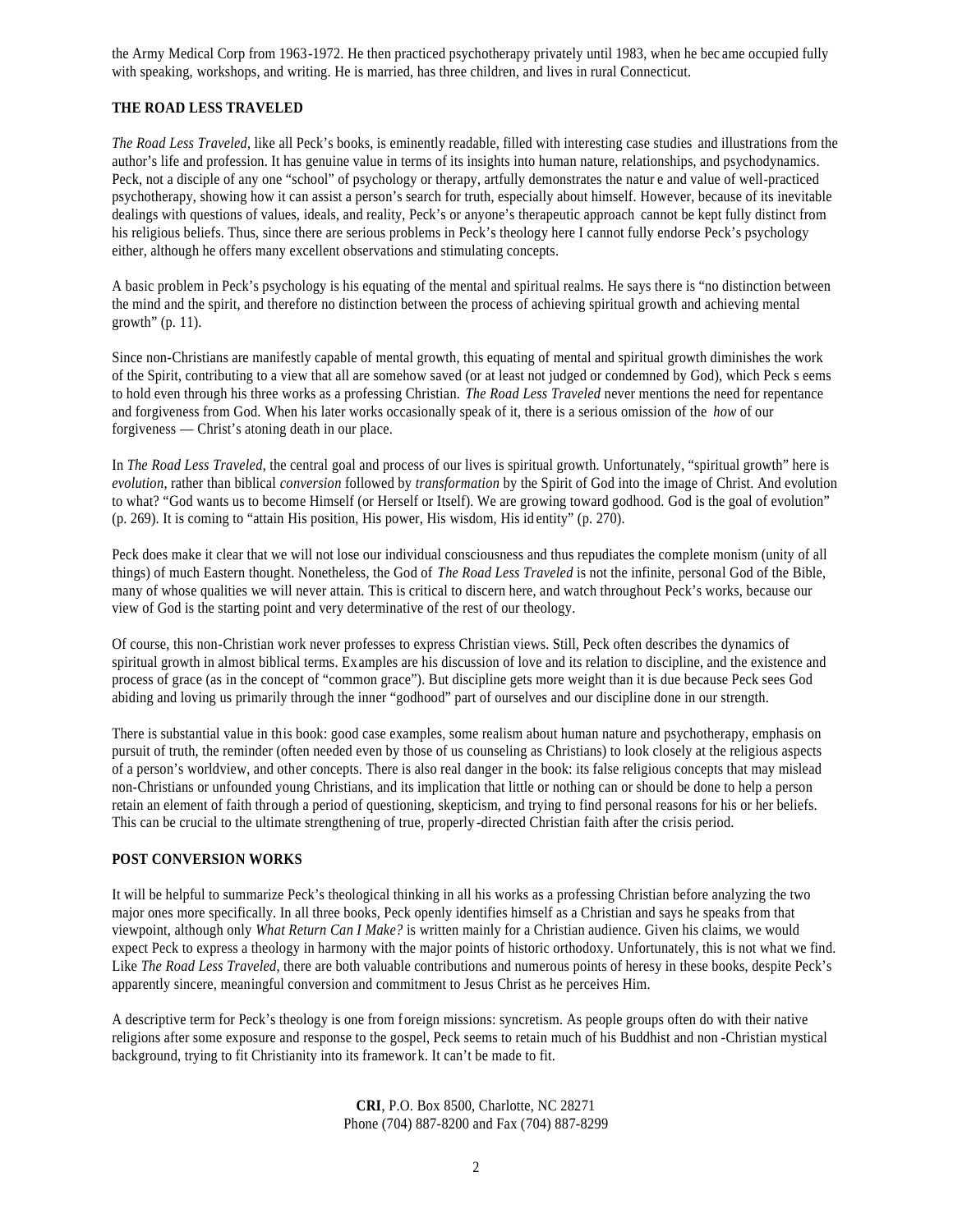the Army Medical Corp from 1963-1972. He then practiced psychotherapy privately until 1983, when he bec ame occupied fully with speaking, workshops, and writing. He is married, has three children, and lives in rural Connecticut.

## **THE ROAD LESS TRAVELED**

*The Road Less Traveled*, like all Peck's books, is eminently readable, filled with interesting case studies and illustrations from the author's life and profession. It has genuine value in terms of its insights into human nature, relationships, and psychodynamics. Peck, not a disciple of any one "school" of psychology or therapy, artfully demonstrates the natur e and value of well-practiced psychotherapy, showing how it can assist a person's search for truth, especially about himself. However, because of its inevitable dealings with questions of values, ideals, and reality, Peck's or anyone's therapeutic approach cannot be kept fully distinct from his religious beliefs. Thus, since there are serious problems in Peck's theology here I cannot fully endorse Peck's psychology either, although he offers many excellent observations and stimulating concepts.

A basic problem in Peck's psychology is his equating of the mental and spiritual realms. He says there is "no distinction between the mind and the spirit, and therefore no distinction between the process of achieving spiritual growth and achieving mental growth" (p. 11).

Since non-Christians are manifestly capable of mental growth, this equating of mental and spiritual growth diminishes the work of the Spirit, contributing to a view that all are somehow saved (or at least not judged or condemned by God), which Peck s eems to hold even through his three works as a professing Christian. *The Road Less Traveled* never mentions the need for repentance and forgiveness from God. When his later works occasionally speak of it, there is a serious omission of the *how* of our forgiveness — Christ's atoning death in our place.

In *The Road Less Traveled*, the central goal and process of our lives is spiritual growth. Unfortunately, "spiritual growth" here is *evolution*, rather than biblical *conversion* followed by *transformation* by the Spirit of God into the image of Christ. And evolution to what? "God wants us to become Himself (or Herself or Itself). We are growing toward godhood. God is the goal of evolution" (p. 269). It is coming to "attain His position, His power, His wisdom, His id entity" (p. 270).

Peck does make it clear that we will not lose our individual consciousness and thus repudiates the complete monism (unity of all things) of much Eastern thought. Nonetheless, the God of *The Road Less Traveled* is not the infinite, personal God of the Bible, many of whose qualities we will never attain. This is critical to discern here, and watch throughout Peck's works, because our view of God is the starting point and very determinative of the rest of our theology.

Of course, this non-Christian work never professes to express Christian views. Still, Peck often describes the dynamics of spiritual growth in almost biblical terms. Examples are his discussion of love and its relation to discipline, and the existence and process of grace (as in the concept of "common grace"). But discipline gets more weight than it is due because Peck sees God abiding and loving us primarily through the inner "godhood" part of ourselves and our discipline done in our strength.

There is substantial value in this book: good case examples, some realism about human nature and psychotherapy, emphasis on pursuit of truth, the reminder (often needed even by those of us counseling as Christians) to look closely at the religious aspects of a person's worldview, and other concepts. There is also real danger in the book: its false religious concepts that may mislead non-Christians or unfounded young Christians, and its implication that little or nothing can or should be done to help a person retain an element of faith through a period of questioning, skepticism, and trying to find personal reasons for his or her beliefs. This can be crucial to the ultimate strengthening of true, properly -directed Christian faith after the crisis period.

#### **POST CONVERSION WORKS**

It will be helpful to summarize Peck's theological thinking in all his works as a professing Christian before analyzing the two major ones more specifically. In all three books, Peck openly identifies himself as a Christian and says he speaks from that viewpoint, although only *What Return Can I Make?* is written mainly for a Christian audience. Given his claims, we would expect Peck to express a theology in harmony with the major points of historic orthodoxy. Unfortunately, this is not what we find. Like *The Road Less Traveled*, there are both valuable contributions and numerous points of heresy in these books, despite Peck's apparently sincere, meaningful conversion and commitment to Jesus Christ as he perceives Him.

A descriptive term for Peck's theology is one from foreign missions: syncretism. As people groups often do with their native religions after some exposure and response to the gospel, Peck seems to retain much of his Buddhist and non -Christian mystical background, trying to fit Christianity into its framework. It can't be made to fit.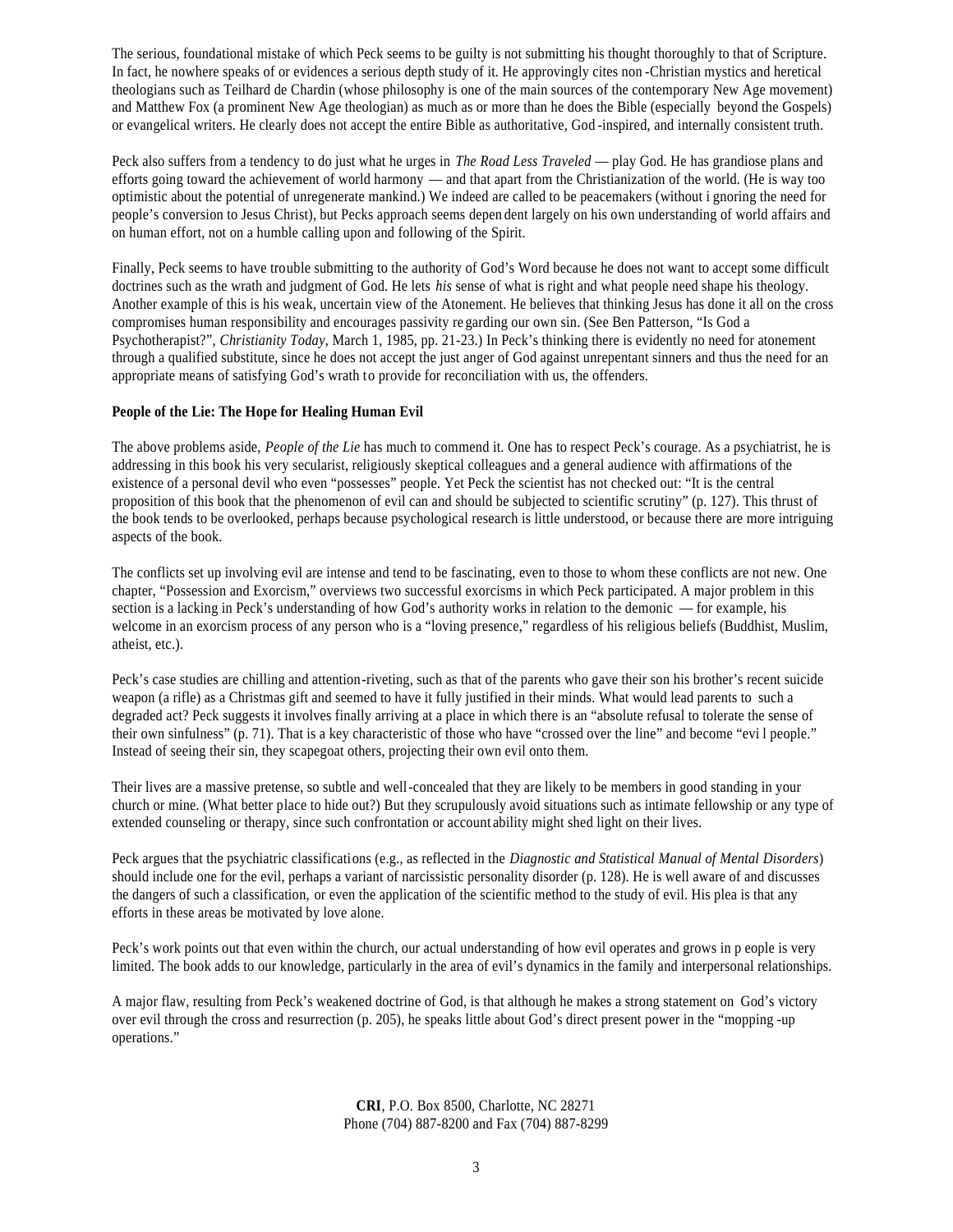The serious, foundational mistake of which Peck seems to be guilty is not submitting his thought thoroughly to that of Scripture. In fact, he nowhere speaks of or evidences a serious depth study of it. He approvingly cites non -Christian mystics and heretical theologians such as Teilhard de Chardin (whose philosophy is one of the main sources of the contemporary New Age movement) and Matthew Fox (a prominent New Age theologian) as much as or more than he does the Bible (especially beyond the Gospels) or evangelical writers. He clearly does not accept the entire Bible as authoritative, God -inspired, and internally consistent truth.

Peck also suffers from a tendency to do just what he urges in *The Road Less Traveled* — play God. He has grandiose plans and efforts going toward the achievement of world harmony — and that apart from the Christianization of the world. (He is way too optimistic about the potential of unregenerate mankind.) We indeed are called to be peacemakers (without i gnoring the need for people's conversion to Jesus Christ), but Pecks approach seems depen dent largely on his own understanding of world affairs and on human effort, not on a humble calling upon and following of the Spirit.

Finally, Peck seems to have trouble submitting to the authority of God's Word because he does not want to accept some difficult doctrines such as the wrath and judgment of God. He lets *his* sense of what is right and what people need shape his theology. Another example of this is his weak, uncertain view of the Atonement. He believes that thinking Jesus has done it all on the cross compromises human responsibility and encourages passivity re garding our own sin. (See Ben Patterson, "Is God a Psychotherapist?", *Christianity Today*, March 1, 1985, pp. 21-23.) In Peck's thinking there is evidently no need for atonement through a qualified substitute, since he does not accept the just anger of God against unrepentant sinners and thus the need for an appropriate means of satisfying God's wrath to provide for reconciliation with us, the offenders.

# **People of the Lie: The Hope for Healing Human Evil**

The above problems aside, *People of the Lie* has much to commend it. One has to respect Peck's courage. As a psychiatrist, he is addressing in this book his very secularist, religiously skeptical colleagues and a general audience with affirmations of the existence of a personal devil who even "possesses" people. Yet Peck the scientist has not checked out: "It is the central proposition of this book that the phenomenon of evil can and should be subjected to scientific scrutiny" (p. 127). This thrust of the book tends to be overlooked, perhaps because psychological research is little understood, or because there are more intriguing aspects of the book.

The conflicts set up involving evil are intense and tend to be fascinating, even to those to whom these conflicts are not new. One chapter, "Possession and Exorcism," overviews two successful exorcisms in which Peck participated. A major problem in this section is a lacking in Peck's understanding of how God's authority works in relation to the demonic — for example, his welcome in an exorcism process of any person who is a "loving presence," regardless of his religious beliefs (Buddhist, Muslim, atheist, etc.).

Peck's case studies are chilling and attention-riveting, such as that of the parents who gave their son his brother's recent suicide weapon (a rifle) as a Christmas gift and seemed to have it fully justified in their minds. What would lead parents to such a degraded act? Peck suggests it involves finally arriving at a place in which there is an "absolute refusal to tolerate the sense of their own sinfulness" (p. 71). That is a key characteristic of those who have "crossed over the line" and become "evi l people." Instead of seeing their sin, they scapegoat others, projecting their own evil onto them.

Their lives are a massive pretense, so subtle and well-concealed that they are likely to be members in good standing in your church or mine. (What better place to hide out?) But they scrupulously avoid situations such as intimate fellowship or any type of extended counseling or therapy, since such confrontation or account ability might shed light on their lives.

Peck argues that the psychiatric classifications (e.g., as reflected in the *Diagnostic and Statistical Manual of Mental Disorders*) should include one for the evil, perhaps a variant of narcissistic personality disorder (p. 128). He is well aware of and discusses the dangers of such a classification, or even the application of the scientific method to the study of evil. His plea is that any efforts in these areas be motivated by love alone.

Peck's work points out that even within the church, our actual understanding of how evil operates and grows in p eople is very limited. The book adds to our knowledge, particularly in the area of evil's dynamics in the family and interpersonal relationships.

A major flaw, resulting from Peck's weakened doctrine of God, is that although he makes a strong statement on God's victory over evil through the cross and resurrection (p. 205), he speaks little about God's direct present power in the "mopping -up operations."